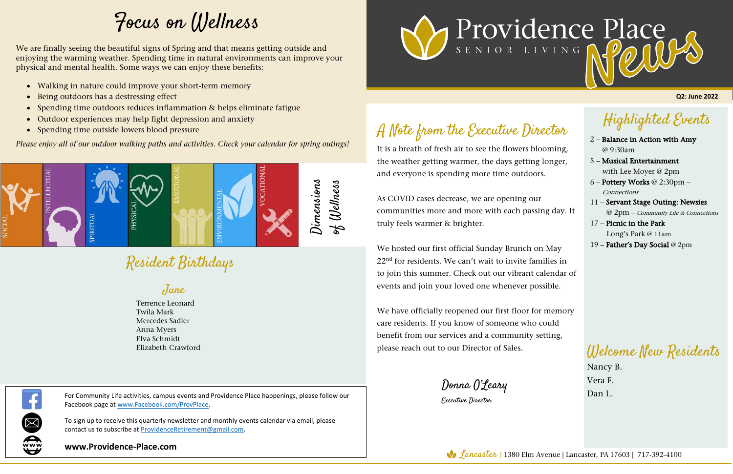Highlighted Events

- 2 Balance in Action with Amy @ 9:30am
- 5 Musical Entertainment with Lee Moyer @ 2pm
- 6 Pottery Works @ 2:30pm **Connections**
- 11 Servant Stage Outing: Newsies @ 2pm – Community Life & Connections
- 17 Picnic in the Park Long's Park @ 11am
- 19 Father's Day Social @ 2pm

## Resident Birthdays

## A Note from the Executive Director

It is a breath of fresh air to see the flowers blooming, the weather getting warmer, the days getting longer, and everyone is spending more time outdoors.

As COVID cases decrease, we are opening our communities more and more with each passing day. It truly feels warmer & brighter.

For Community Life activities, campus events and Providence Place happenings, please follow our  $\Box$  and  $\Box$  and  $\Box$  and  $\Box$  and  $\Box$  and  $\Box$  and  $\Box$  and  $\Box$  and  $\Box$  and  $\Box$  and  $\Box$  and  $\Box$  and  $\Box$  and  $\Box$  and Facebook page at www.Facebook.com/ProvPlace.

To sign up to receive this quarterly newsletter and monthly events calendar via email, please contact us to subscribe at ProvidenceRetirement@gmail.com.

We hosted our first official Sunday Brunch on May 22nd for residents. We can't wait to invite families in to join this summer. Check out our vibrant calendar of events and join your loved one whenever possible.

We have officially reopened our first floor for memory care residents. If you know of someone who could benefit from our services and a community setting, please reach out to our Director of Sales.

Donna O'Leary

Executive Director

**Q2: June 2022**

Welcome New Residents

Nancy B. Vera F.

**www.Providence-Place.com**

www



## Focus on Wellness

June

Terrence Leonard Twila Mark Mercedes Sadler Anna Myers Elva Schmidt Elizabeth Crawford



We are finally seeing the beautiful signs of Spring and that means getting outside and enjoying the warming weather. Spending time in natural environments can improve your physical and mental health. Some ways we can enjoy these benefits:

- Walking in nature could improve your short-term memory
- Being outdoors has a destressing effect
- Spending time outdoors reduces inflammation & helps eliminate fatigue
- Outdoor experiences may help fight depression and anxiety
- Spending time outside lowers blood pressure

*Please enjoy all of our outdoor walking paths and activities. Check your calendar for spring outings!*